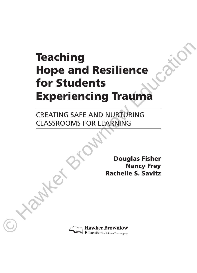# **Teaching** Hope and Resilience for Students Experiencing Trauma Teaching<br>
Hope and Resilience<br>
for Students<br>
Experiencing Trauma<br>
CREATING SAFE AND NURTURING<br>
CLASSROOMS FOR LEARNING<br>
Douglas Fisher<br>
Douglas Fisher<br>
Rachelle S. Savitz<br>
Rachelle S. Savitz<br>
Rachelle S. Savitz<br>
Rachelle S

CREATING SAFE AND NURTURING CLASSROOMS FOR LEARNING

> Douglas Fisher Nancy Frey Rachelle S. Savitz

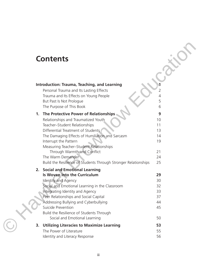# **Contents**

| <b>Contents</b>                                                                   |          |
|-----------------------------------------------------------------------------------|----------|
| Introduction: Trauma, Teaching, and Learning                                      |          |
| Personal Trauma and Its Lasting Effects<br>Trauma and Its Effects on Young People | 2<br>4   |
| But Past Is Not Prologue                                                          | 5        |
| The Purpose of This Book                                                          | 6        |
| The Protective Power of Relationships<br>1.                                       | 9        |
| Relationships and Traumatized Youth                                               | 10       |
| Teacher-Student Relationships                                                     | 11       |
| Differential Treatment of Students                                                | 13       |
| The Damaging Effects of Humiliation and Sarcasm                                   | 14       |
| Interrupt the Pattern                                                             | 19       |
| Measuring Teacher-Student Relationships<br>Through Warmth and Conflict            | 21       |
| The Warm Demander                                                                 | 24       |
| Build the Resilience of Students Through Stronger Relationships                   | 25       |
| 2. Social and Emotional Learning                                                  |          |
| Is Woven into the Curriculum                                                      | 29       |
| <b>Identity and Agency</b>                                                        | 30       |
| Social and Emotional Learning in the Classroom                                    | 32       |
| Integrating Identity and Agency                                                   | 33       |
| Peer Relationships and Social Capital                                             | 37       |
| Addressing Bullying and Cyberbullying                                             | 44       |
| Suicide Prevention                                                                | 45       |
| Build the Resilience of Students Through<br>Social and Emotional Learning         | 50       |
|                                                                                   |          |
| <b>Utilizing Literacies to Maximize Learning</b><br>3.                            | 53       |
| The Power of Literature<br>Identity and Literacy Response                         | 55<br>56 |
|                                                                                   |          |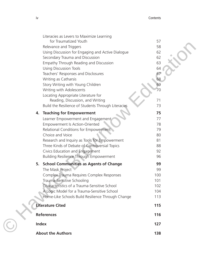| Literacies as Levers to Maximize Learning           |     |
|-----------------------------------------------------|-----|
| for Traumatized Youth                               | 57  |
| Relevance and Triggers                              | 58  |
| Using Discussion for Engaging and Active Dialogue   | 62  |
| Secondary Trauma and Discussion                     | 62  |
| Empathy Through Reading and Discussion              | 63  |
| <b>Using Discussion Tools</b>                       | 64  |
| Teachers' Responses and Disclosures                 | 67  |
| Writing as Catharsis                                | 68  |
| Story Writing with Young Children                   | 69  |
| Writing with Adolescents                            | 70  |
| Locating Appropriate Literature for                 |     |
| Reading, Discussion, and Writing                    | 71  |
| Build the Resilience of Students Through Literacies | 73  |
| 4. Teaching for Empowerment                         | 75  |
| Learner Empowerment and Engagement                  | 77  |
| <b>Empowerment Is Action-Oriented</b>               | 78  |
| Relational Conditions for Empowerment               | 79  |
| Choice and Voice                                    | 80  |
| Research and Inquiry as Tools for Empowerment       | 81  |
| Three Kinds of Debate of Controversial Topics       | 88  |
| Civics Education and Engagement                     | 92  |
| <b>Building Resilience Through Empowerment</b>      | 96  |
| 5. School Communities as Agents of Change           | 99  |
| The Mask Project                                    | 99  |
| Complex Trauma Requires Complex Responses           | 100 |
| Trauma-Sensitive Schooling                          | 101 |
| Characteristics of a Trauma-Sensitive School        | 102 |
| A Logic Model for a Trauma-Sensitive School         | 104 |
| Home-Like Schools Build Resilience Through Change   | 113 |
| iterature Cited                                     | 115 |
| <b>References</b>                                   | 116 |
| <b>Index</b>                                        | 127 |
| <b>About the Authors</b>                            | 138 |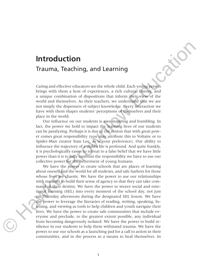# **Introduction** Trauma, Teaching, and Learning

Caring and effective educators see the whole child. Each young person brings with them a host of experiences, a rich cultural history, and a unique combination of dispositions that inform their view of the world and themselves. As their teachers, we understand that we are not simply the dispensers of subject knowledge. Every interaction we have with them shapes students' perceptions of themselves and their place in the world.

Our influence on our students is awe-inspiring and humbling. In fact, the power we hold to impact the learning lives of our students can be paralyzing. Perhaps it is due to the notion that with great power comes great responsibility (you may attribute this to Voltaire or to Spider-Man creator Stan Lee, as is your preference). Our ability to influence the trajectory of a child's life is profound. And quite frankly, it is psychologically easier to retreat to a false belief that we have little power than it is to fully confront the responsibility we have to use our collective power for the betterment of young humans.

We have the power to create schools that are places of learning about oneself and the world for all students, and safe harbors for those whose lives are chaotic. We have the power to use our relationships with students to build their sense of agency so that they can take command of their destiny. We have the power to weave social and emotional learning (SEL) into every moment of the school day, not just on Thursday afternoons during the designated SEL lesson. We have the power to leverage the literacies of reading, writing, speaking, listening, and viewing as tools to help children and youth navigate their lives. We have the power to create safe communities that include everyone and preclude, to the greatest extent possible, any individual from becoming dangerously isolated. We have the power to build resilience in our students to help them withstand trauma. We have the power to use our schools as a launching pad for a call to action in their communities, and in the process as a means to heal themselves. In **Introduction**<br> **Trauma, Teaching, and Learning**<br> **Caring and effective educators see the whole child. Each young person<br>
brings with them a host of experiences, a rich cultural history, and<br>
a unique combination of dispo** 

©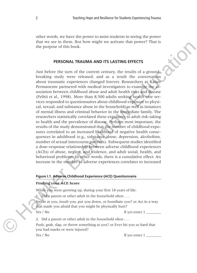other words, we have the power to assist students in seeing the power that we see in them. But how might we activate that power? That is the purpose of this book.

### **PERSONAL TRAUMA AND ITS LASTING EFFECTS**

Just before the turn of the current century, the results of a groundbreaking study were released, and as a result the conversation about traumatic experiences changed forever. Researchers at Kaiser Permanente partnered with medical investigators to examine the association between childhood abuse and adult health risks and disease (Felitti et al., 1998). More than 8,500 adults seeking health care services responded to questionnaires about childhood exposure to physical, sexual, and substance abuse in the household, as well as instances of mental illness and criminal behavior in the immediate family. The researchers statistically correlated these exposures to adult risk-taking to health and the prevalence of disease. Perhaps most important, the results of the study demonstrated that the number of childhood exposures correlated to an increased likelihood of negative health consequences in adulthood (e.g., substance abuse, depression, alcoholism, number of sexual intercourse partners). Subsequent studies identified a dose–response relationship between adverse childhood experiences (ACEs) of abuse, neglect, and violence, and adult social, health, and behavioral problems. In other words, there is a cumulative effect: An increase in the number of adverse experiences correlates to increased the weather of this book.<br>
The unitroon of this book.<br>
The unitroon of this book.<br> **PERSONAL TRAUMA AND ITS LASTING EFFECTS**<br>
Just before the turn of the current century, the results of a ground-<br>
liveaking study were rel

### **Figure I.1. Adverse Childhood Experience (ACE) Questionnaire**

### **Finding your ACE Score**

While you were growing up, during your first 18 years of life:

1. Did a parent or other adult in the household often . . .

Swear at you, insult you, put you down, or humiliate you? or Act in a way that made you afraid that you might be physically hurt?

Yes / No If yes enter 1 \_\_\_\_\_\_\_\_

2. Did a parent or other adult in the household often . . .

Push, grab, slap, or throw something at you? or Ever hit you so hard that you had marks or were injured?

©

Yes / No If yes enter 1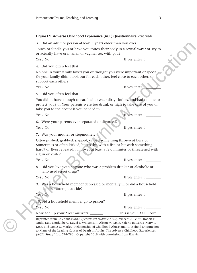### **Figure I.1. Adverse Childhood Experience (ACE) Questionnaire** (continued)

3. Did an adult or person at least 5 years older than you ever . . .

Touch or fondle you or have you touch their body in a sexual way? or Try to or actually have oral, anal, or vaginal sex with you?

Yes / No If yes enter 1

4. Did you often feel that . . .

No one in your family loved you or thought you were important or special? Or your family didn't look out for each other, feel close to each other, or support each other?

Yes / No If yes enter 1

5. Did you often feel that . . .

You didn't have enough to eat, had to wear dirty clothes, and had no one to protect you? or Your parents were too drunk or high to take care of you or take you to the doctor if you needed it?

 $Yes / No$  If yes enter 1

6. Were your parents ever separated or divorced?

Yes / No If yes enter 1

7. Was your mother or stepmother:

Often pushed, grabbed, slapped, or had something thrown at her? or Sometimes or often kicked, bitten, hit with a fist, or hit with something hard? or Ever repeatedly hit over at least a few minutes or threatened with a gun or knife?

Yes / No If yes enter 1 \_\_\_\_\_\_\_\_

8. Did you live with anyone who was a problem drinker or alcoholic or who used street drugs?

©

Yes / No If yes enter 1

9. Was a household member depressed or mentally ill or did a household member attempt suicide?

Yes / No If yes enter 1 10. Did a household member go to prison? Yes / No If yes enter 1 3. bild an adult or person at least 5 years older than you ever...<br>
Touch or formalle you or have you touch their plot) in a sexual way? Or Try to<br>
Touch or formalle you or have you touch their hold yin a sexual way? Or T

Now add up your "Yes" answers: \_\_\_\_\_\_\_ This is your ACE Score

Reprinted from *American Journal of Preventive Medicine, 56*(6). Vincent J. Felitti, Robert F. Anda, Dale Nordenberg, David F. Williamson, Alison M. Spitz, Valerie Edwards, Mary P. Koss, and James S. Marks. "Relationship of Childhood Abuse and Household Dysfunction to Many of the Leading Causes of Death in Adults: The Adverse Childhood Experiences (ACE) Study" (pp. 774 -786). Copyright 2019 with permission from Elsevier.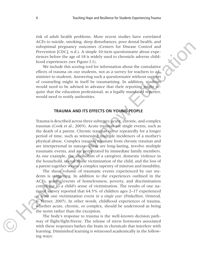risk of adult health problems. More recent studies have correlated ACEs to suicide, smoking, sleep disturbances, poor dental health, and suboptimal pregnancy outcomes (Centers for Disease Control and Prevention [CDC], n.d.). A simple 10-item questionnaire about experiences before the age of 18 is widely used to chronicle adverse childhood experiences (see Figure I.1).

We include this scoring tool for information about the cumulative effects of trauma on our students, not as a survey for teachers to administer to students. Answering such a questionnaire without support of counseling might in itself be traumatizing. In addition, students would need to be advised in advance that their reporting might require that the education professional, as a legally mandated reporter, would need to notify authorities.

### **TRAUMA AND ITS EFFECTS ON YOUNG PEOPLE**

Trauma is described across three subtypes: acute, chronic, and complex traumas (Cook et al., 2005). Acute traumas are single events, such as the death of a parent. Chronic traumas occur repeatedly for a longer period of time, such as witnessing multiple incidences of a mother's physical abuse. Complex traumas emanate from chronic traumas and are interpersonal in nature. These are long-lasting, involve multiple traumatic events, and are perpetrated by immediate family members. As one example, the alcoholism of a caregiver, domestic violence in the household, sexual abuse victimization of the child, and the loss of a parent together weave a complex tapestry of mistrust and instability. Now assume the constrained to the state of the state of the state of the central in the present of the free enter the detection (Centres for Discar Control and Precention (CONC), rial, A simple 10-lient question the candi

The sheer volume of traumatic events experienced by our students is staggering. In addition to the experiences outlined in the ACEs, searing events of homelessness, poverty, and discrimination contribute to a child's sense of victimization. The results of one national survey reported that 64.5% of children ages 2–17 experienced at least one victimization event *in a single year* (Finkelhor, Ormrod, & Turner, 2007). In other words, childhood experiences of trauma, whether acute, chronic, or complex, should be understood as being the norm rather than the exception.

The body's response to trauma is the well-known decision pathway of flight/fight/freeze. The release of stress hormones associated with these responses bathes the brain in chemicals that interfere with learning. Diminished learning is witnessed academically in the follow ing ways:

©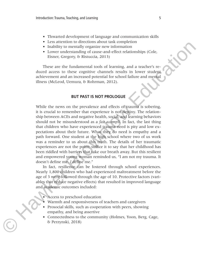- Thwarted development of language and communication skills
- Less attention to directions about task completion
- Inability to mentally organize new information
- Lower understanding of cause-and-effect relationships (Cole, Eisner, Gregory, & Ristuccia, 2013)

These are the fundamental tools of learning, and a teacher's reduced access to these cognitive channels results in lower student achievement and an increased potential for school failure and mental illness (McLeod, Uemura, & Rohrman, 2012).

## **BUT PAST IS NOT PROLOGUE**

While the news on the prevalence and effects of trauma is sobering, it is crucial to remember that experience is not destiny. The relationship between ACEs and negative health, social, and learning behaviors should not be misunderstood as a *fait accompli*. In fact, the last thing that children who have experienced trauma need is pity and low expectations about their future. What they do need is empathy and a path forward. One student at the high school where two of us work was a reminder to us about this truth. The details of her traumatic experiences are not the point; suffice it to say that her childhood has been riddled with barriers that take our breath away. But this resilient and empowered young woman reminded us, "I am not my trauma. It doesn't define me. *I* define me." **Examine the main term in the case of the system and the system of the system in the system in the system in the system of the system of the system of the system of the system of the system of the system of the system of** 

In fact, resilience can be fostered through school experiences. Nearly 1,800 children who had experienced maltreatment before the age of 3 were followed through the age of 10. Protective factors (variables that reduce negative effects) that resulted in improved language and academic outcomes included:

- Access to preschool education
- Warmth and responsiveness of teachers and caregivers
- Prosocial skills, such as cooperation with peers, showing empathy, and being assertive
- Connectedness to the community (Holmes, Yoon, Berg, Cage, & Perzynski, 2018)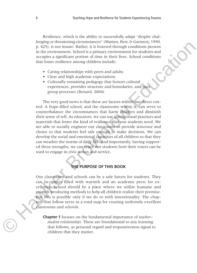Resilience, which is the ability to successfully adapt "despite challenging or threatening circumstances" (Masten, Best, & Garmezy, 1990, p. 425), is not innate. Rather, it is fostered through conditions present in the environment. School is a primary environment for students and occupies a significant portion of time in their lives. School conditions that foster resilience among children include:

- Caring relationships with peers and adults
- Clear and high academic expectations
- Culturally sustaining pedagogy that honors cultural experiences, provides structure and boundaries, and use group processes (Benard, 2004)

The very good news is that these are factors within our direct control. A hope-filled school, and the classrooms within it, can serve to counterbalance the circumstances that harm children and diminish their sense of self. As educators, we can use instructional practices and materials that foster the kind of resilience that our students need. We are able to socially engineer our classrooms to provide structure and choice so that students feel safe enough to make decisions. We can develop the social and emotional capacities of all children so that they can weather the storms of daily life. And importantly, having supported these strengths, we can teach our students how their voices can be used to engage in civic action and service. All the environments contained by a matter and model on the system. The system in the environment a School soliditions present<br>in the environment and shall parameterization of the system of ordinary environment for subter

### **THE PURPOSE OF THIS BOOK**

Our classrooms and schools can be a safe haven for students. They can be spaces filled with warmth and an academic press for excellence. School should be a place where we utilize humane and growth-producing methods to help all children realize their promise. But this is possible only if we do so with intentionality. The chapters that follow serve as a road map for creating uniformly excellent classrooms and schools.

*Chapter 1* focuses on the fundamental importance of *teacher*– *student relationships*. These are foundational to any learning that follows, as personal regard and responsiveness signal to children that they matter.

©